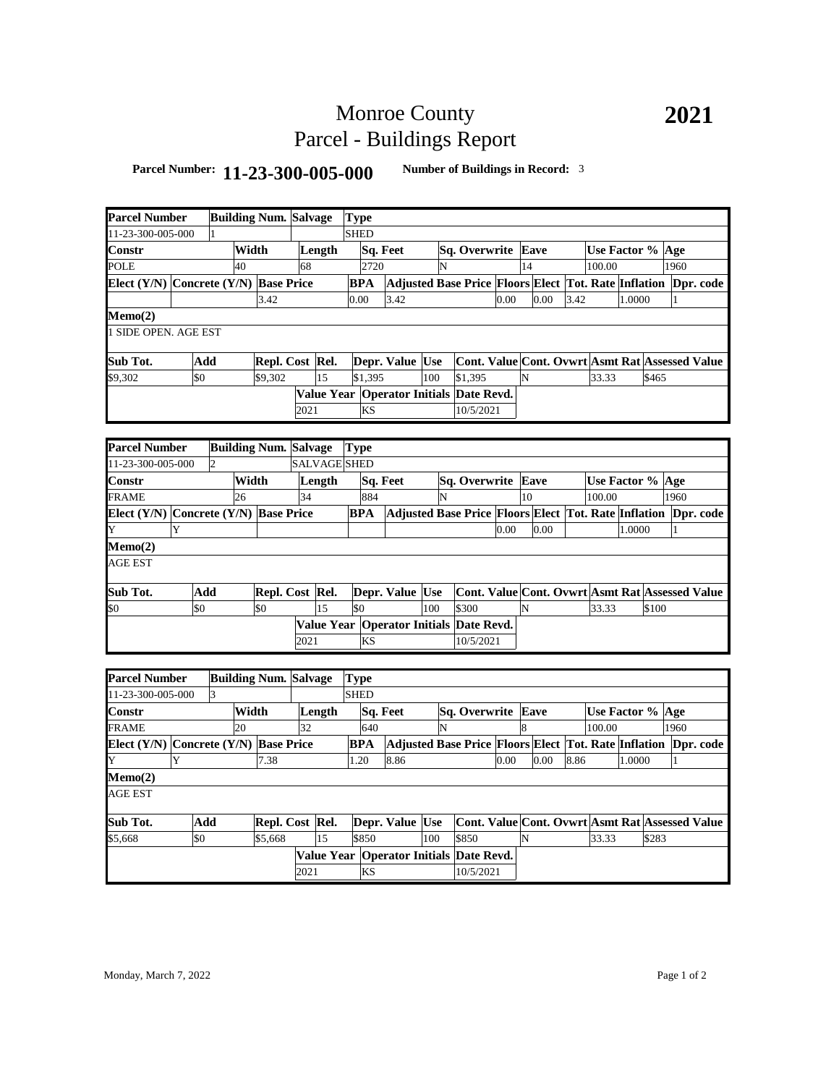## Monroe County Parcel - Buildings Report

## **Parcel Number: 11-23-300-005-000 Number of Buildings in Record:** <sup>3</sup>

| <b>Parcel Number</b>                                                               |     |       |                              | <b>Building Num. Salvage</b> |        | <b>Type</b>     |                                         |     |                                                                |      |                    |      |                  |                  |        |                                                 |                                                                |           |  |
|------------------------------------------------------------------------------------|-----|-------|------------------------------|------------------------------|--------|-----------------|-----------------------------------------|-----|----------------------------------------------------------------|------|--------------------|------|------------------|------------------|--------|-------------------------------------------------|----------------------------------------------------------------|-----------|--|
| 1-23-300-005-000                                                                   |     |       |                              |                              |        | <b>SHED</b>     |                                         |     |                                                                |      |                    |      |                  |                  |        |                                                 |                                                                |           |  |
| Constr                                                                             |     | Width |                              |                              | Length |                 | Sq. Feet                                |     | Sq. Overwrite Eave                                             |      |                    |      | Use Factor % Age |                  |        |                                                 |                                                                |           |  |
| 40<br>POLE                                                                         |     |       | 68                           |                              | 2720   |                 |                                         | N   |                                                                |      | 14                 |      |                  | 100.00           |        | 1960                                            |                                                                |           |  |
| Elect (Y/N) Concrete (Y/N) Base Price                                              |     |       |                              |                              |        | <b>BPA</b>      |                                         |     |                                                                |      |                    |      |                  |                  |        |                                                 | Adjusted Base Price Floors Elect Tot. Rate Inflation Dpr. code |           |  |
|                                                                                    |     |       | 3.42                         |                              |        | 0.00            | 3.42                                    |     |                                                                | 0.00 |                    | 0.00 | 3.42             |                  | 1.0000 |                                                 |                                                                |           |  |
| Memo(2)                                                                            |     |       |                              |                              |        |                 |                                         |     |                                                                |      |                    |      |                  |                  |        |                                                 |                                                                |           |  |
| SIDE OPEN. AGE EST                                                                 |     |       |                              |                              |        |                 |                                         |     |                                                                |      |                    |      |                  |                  |        |                                                 |                                                                |           |  |
| Sub Tot.<br>Add                                                                    |     |       |                              | Repl. Cost Rel.              |        | Depr. Value Use |                                         |     |                                                                |      |                    |      |                  |                  |        | Cont. Value Cont. Ovwrt Asmt Rat Assessed Value |                                                                |           |  |
| \$9,302                                                                            | \$0 |       | \$9,302                      |                              | 15     | \$1,395         |                                         | 100 | \$1,395                                                        |      | N                  |      |                  | 33.33            |        | \$465                                           |                                                                |           |  |
|                                                                                    |     |       |                              |                              |        |                 | Value Year Operator Initials Date Revd. |     |                                                                |      |                    |      |                  |                  |        |                                                 |                                                                |           |  |
|                                                                                    |     |       |                              | 2021                         |        | <b>KS</b>       |                                         |     | 10/5/2021                                                      |      |                    |      |                  |                  |        |                                                 |                                                                |           |  |
|                                                                                    |     |       |                              |                              |        |                 |                                         |     |                                                                |      |                    |      |                  |                  |        |                                                 |                                                                |           |  |
| <b>Parcel Number</b>                                                               |     |       |                              |                              |        | <b>Type</b>     |                                         |     |                                                                |      |                    |      |                  |                  |        |                                                 |                                                                |           |  |
| <b>Building Num. Salvage</b><br>1-23-300-005-000<br>SALVAGE SHED<br>$\overline{c}$ |     |       |                              |                              |        |                 |                                         |     |                                                                |      |                    |      |                  |                  |        |                                                 |                                                                |           |  |
| Constr                                                                             |     | Width |                              | Length                       |        | Sq. Feet        |                                         |     | Sq. Overwrite Eave                                             |      |                    |      | Use Factor % Age |                  |        |                                                 |                                                                |           |  |
| FRAME<br>26                                                                        |     |       |                              | 34                           |        |                 | 884                                     |     |                                                                |      | 10                 |      |                  | 100.00           |        | 1960                                            |                                                                |           |  |
| Elect (Y/N) Concrete (Y/N) Base Price                                              |     |       |                              |                              |        | <b>BPA</b>      |                                         | N   | Adjusted Base Price Floors Elect Tot. Rate Inflation Dpr. code |      |                    |      |                  |                  |        |                                                 |                                                                |           |  |
| Y                                                                                  |     |       |                              |                              |        |                 |                                         |     | 0.00                                                           |      | 0.00               |      | 1.0000           |                  |        |                                                 |                                                                |           |  |
| Memo(2)                                                                            |     |       |                              |                              |        |                 |                                         |     |                                                                |      |                    |      |                  |                  |        |                                                 |                                                                |           |  |
| AGE EST                                                                            |     |       |                              |                              |        |                 |                                         |     |                                                                |      |                    |      |                  |                  |        |                                                 |                                                                |           |  |
|                                                                                    |     |       |                              |                              |        |                 |                                         |     |                                                                |      |                    |      |                  |                  |        |                                                 |                                                                |           |  |
| Sub Tot.                                                                           | Add |       | Repl. Cost Rel.              |                              |        |                 | Depr. Value Use                         |     | <b>Cont. Value Cont. Ovwrt Asmt Rat Assessed Value</b>         |      |                    |      |                  |                  |        |                                                 |                                                                |           |  |
| \$0                                                                                | \$0 |       | \$0                          |                              | 15     | \$0             |                                         | 100 | \$300                                                          |      | N                  |      |                  | 33.33            |        | \$100                                           |                                                                |           |  |
|                                                                                    |     |       |                              |                              |        |                 | Value Year Operator Initials Date Revd. |     |                                                                |      |                    |      |                  |                  |        |                                                 |                                                                |           |  |
|                                                                                    |     |       |                              | 2021                         |        | KS              |                                         |     | 10/5/2021                                                      |      |                    |      |                  |                  |        |                                                 |                                                                |           |  |
|                                                                                    |     |       |                              |                              |        |                 |                                         |     |                                                                |      |                    |      |                  |                  |        |                                                 |                                                                |           |  |
| <b>Parcel Number</b>                                                               |     |       | <b>Building Num. Salvage</b> |                              |        | Type            |                                         |     |                                                                |      |                    |      |                  |                  |        |                                                 |                                                                |           |  |
| 1-23-300-005-000                                                                   | 3   |       |                              |                              |        | <b>SHED</b>     |                                         |     |                                                                |      |                    |      |                  |                  |        |                                                 |                                                                |           |  |
| Constr                                                                             |     | Width |                              |                              | Length |                 | Sq. Feet                                |     | Sq. Overwrite Eave                                             |      |                    |      |                  | Use Factor % Age |        |                                                 |                                                                |           |  |
| FRAME                                                                              |     | 20    |                              | 32                           |        | 640             |                                         | N   |                                                                |      | $\mathbf{\hat{z}}$ |      |                  | 100.00           |        |                                                 | 1960                                                           |           |  |
| Elect (Y/N) Concrete (Y/N) Base Price                                              |     |       |                              |                              |        | <b>BPA</b>      |                                         |     | Adjusted Base Price Floors Elect Tot. Rate Inflation           |      |                    |      |                  |                  |        |                                                 |                                                                | Dpr. code |  |
| Y                                                                                  |     |       | 7.38                         |                              |        | 1.20            | 8.86                                    |     |                                                                | 0.00 |                    | 0.00 | 8.86             |                  | 1.0000 |                                                 |                                                                |           |  |
| Memo(2)                                                                            |     |       |                              |                              |        |                 |                                         |     |                                                                |      |                    |      |                  |                  |        |                                                 |                                                                |           |  |
| AGE EST                                                                            |     |       |                              |                              |        |                 |                                         |     |                                                                |      |                    |      |                  |                  |        |                                                 |                                                                |           |  |
| Sub Tot.                                                                           | Add |       | Repl. Cost Rel.              |                              |        |                 | Depr. Value Use                         |     | <b>Cont. Value Cont. Ovwrt Asmt Rat Assessed Value</b>         |      |                    |      |                  |                  |        |                                                 |                                                                |           |  |
| \$5,668                                                                            | \$0 |       | \$5,668                      |                              | 15     | \$850           |                                         | 100 | \$850                                                          |      | N                  |      |                  | 33.33            |        | \$283                                           |                                                                |           |  |
|                                                                                    |     |       |                              |                              |        |                 | Value Year Operator Initials Date Revd. |     |                                                                |      |                    |      |                  |                  |        |                                                 |                                                                |           |  |
|                                                                                    |     |       |                              | 2021                         |        | KS              |                                         |     | 10/5/2021                                                      |      |                    |      |                  |                  |        |                                                 |                                                                |           |  |